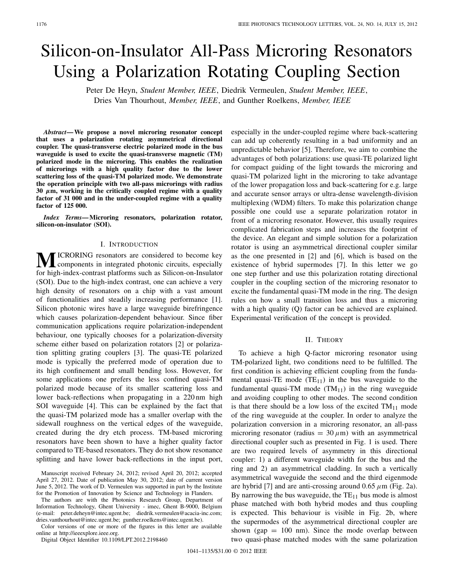# Silicon-on-Insulator All-Pass Microring Resonators Using a Polarization Rotating Coupling Section

Peter De Heyn, *Student Member, IEEE*, Diedrik Vermeulen, *Student Member, IEEE*, Dries Van Thourhout, *Member, IEEE*, and Gunther Roelkens, *Member, IEEE*

*Abstract***— We propose a novel microring resonator concept that uses a polarization rotating asymmetrical directional coupler. The quasi-transverse electric polarized mode in the bus waveguide is used to excite the quasi-transverse magnetic (TM) polarized mode in the microring. This enables the realization of microrings with a high quality factor due to the lower scattering loss of the quasi-TM polarized mode. We demonstrate the operation principle with two all-pass microrings with radius 30** *µ***m, working in the critically coupled regime with a quality factor of 31 000 and in the under-coupled regime with a quality factor of 125 000.**

*Index Terms***— Microring resonators, polarization rotator, silicon-on-insulator (SOI).**

### I. INTRODUCTION

**M**ICRORING resonators are considered to become key<br>components in integrated photonic circuits, especially for high-index-contrast platforms such as Silicon-on-Insulator (SOI). Due to the high-index contrast, one can achieve a very high density of resonators on a chip with a vast amount of functionalities and steadily increasing performance [1]. Silicon photonic wires have a large waveguide birefringence which causes polarization-dependent behaviour. Since fiber communication applications require polarization-independent behaviour, one typically chooses for a polarization-diversity scheme either based on polarization rotators [2] or polarization splitting grating couplers [3]. The quasi-TE polarized mode is typically the preferred mode of operation due to its high confinement and small bending loss. However, for some applications one prefers the less confined quasi-TM polarized mode because of its smaller scattering loss and lower back-reflections when propagating in a 220 nm high SOI waveguide [4]. This can be explained by the fact that the quasi-TM polarized mode has a smaller overlap with the sidewall roughness on the vertical edges of the waveguide, created during the dry etch process. TM-based microring resonators have been shown to have a higher quality factor compared to TE-based resonators. They do not show resonance splitting and have lower back-reflections in the input port,

The authors are with the Photonics Research Group, Department of Information Technology, Ghent University - imec, Ghent B-9000, Belgium (e-mail: peter.deheyn@intec.ugent.be; diedrik.vermeulen@acacia-inc.com; dries.vanthourhout@intec.ugent.be; gunther.roelkens@intec.ugent.be).

Color versions of one or more of the figures in this letter are available online at http://ieeexplore.ieee.org.

Digital Object Identifier 10.1109/LPT.2012.2198460

especially in the under-coupled regime where back-scattering can add up coherently resulting in a bad uniformity and an unpredictable behavior [5]. Therefore, we aim to combine the advantages of both polarizations: use quasi-TE polarized light for compact guiding of the light towards the microring and quasi-TM polarized light in the microring to take advantage of the lower propagation loss and back-scattering for e.g. large and accurate sensor arrays or ultra-dense wavelength-division multiplexing (WDM) filters. To make this polarization change possible one could use a separate polarization rotator in front of a microring resonator. However, this usually requires complicated fabrication steps and increases the footprint of the device. An elegant and simple solution for a polarization rotator is using an asymmetrical directional coupler similar as the one presented in [2] and [6], which is based on the existence of hybrid supermodes [7]. In this letter we go one step further and use this polarization rotating directional coupler in the coupling section of the microring resonator to excite the fundamental quasi-TM mode in the ring. The design rules on how a small transition loss and thus a microring with a high quality (Q) factor can be achieved are explained. Experimental verification of the concept is provided.

#### II. THEORY

To achieve a high Q-factor microring resonator using TM-polarized light, two conditions need to be fulfilled. The first condition is achieving efficient coupling from the fundamental quasi-TE mode  $(TE_{11})$  in the bus waveguide to the fundamental quasi-TM mode  $(TM_{11})$  in the ring waveguide and avoiding coupling to other modes. The second condition is that there should be a low loss of the excited  $TM_{11}$  mode of the ring waveguide at the coupler. In order to analyze the polarization conversion in a microring resonator, an all-pass microring resonator (radius  $= 30 \mu m$ ) with an asymmetrical directional coupler such as presented in Fig. 1 is used. There are two required levels of asymmetry in this directional coupler: 1) a different waveguide width for the bus and the ring and 2) an asymmetrical cladding. In such a vertically asymmetrical waveguide the second and the third eigenmode are hybrid [7] and are anti-crossing around  $0.65 \mu m$  (Fig. 2a). By narrowing the bus waveguide, the  $TE_{11}$  bus mode is almost phase matched with both hybrid modes and thus coupling is expected. This behaviour is visible in Fig. 2b, where the supermodes of the asymmetrical directional coupler are shown (gap  $= 100$  nm). Since the mode overlap between two quasi-phase matched modes with the same polarization

Manuscript received February 24, 2012; revised April 20, 2012; accepted April 27, 2012. Date of publication May 30, 2012; date of current version June 5, 2012. The work of D. Vermeulen was supported in part by the Institute for the Promotion of Innovation by Science and Technology in Flanders.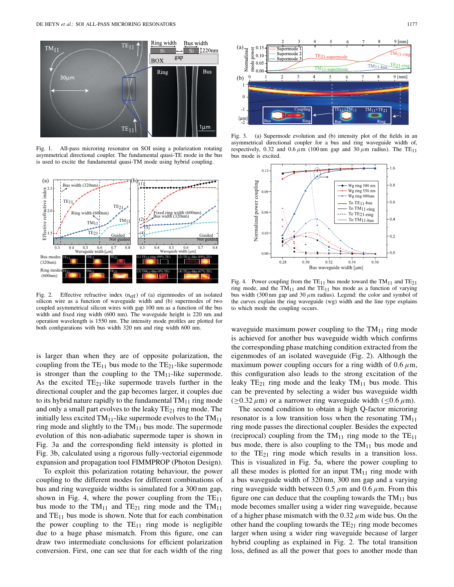

Fig. 1. All-pass microring resonator on SOI using a polarization rotating asymmetrical directional coupler. The fundamental quasi-TE mode in the bus is used to excite the fundamental quasi-TM mode using hybrid coupling.



Fig. 2. Effective refractive index  $(n_{eff})$  of (a) eigenmodes of an isolated silicon wire as a function of waveguide width and (b) supermodes of two coupled asymmetrical silicon wires with gap 100 nm as a function of the bus width and fixed ring width (600 nm). The waveguide height is 220 nm and operation wavelength is 1550 nm. The intensity mode profiles are plotted for both configurations with bus width 320 nm and ring width 600 nm.

is larger than when they are of opposite polarization, the coupling from the  $TE_{11}$  bus mode to the  $TE_{21}$ -like supermode is stronger than the coupling to the  $TM_{11}$ -like supermode. As the excited  $TE_{21}$ -like supermode travels further in the directional coupler and the gap becomes larger, it couples due to its hybrid nature rapidly to the fundamental  $TM_{11}$  ring mode and only a small part evolves to the leaky  $TE_{21}$  ring mode. The initially less excited  $TM_{11}$ -like supermode evolves to the  $TM_{11}$ ring mode and slightly to the  $TM_{11}$  bus mode. The supermode evolution of this non-adiabatic supermode taper is shown in Fig. 3a and the corresponding field intensity is plotted in Fig. 3b, calculated using a rigorous fully-vectorial eigenmode expansion and propagation tool FIMMPROP (Photon Design).

To exploit this polarization rotating behaviour, the power coupling to the different modes for different combinations of bus and ring waveguide widths is simulated for a 300 nm gap, shown in Fig. 4, where the power coupling from the  $TE_{11}$ bus mode to the  $TM_{11}$  and  $TE_{21}$  ring mode and the  $TM_{11}$ and  $TE_{11}$  bus mode is shown. Note that for each combination the power coupling to the  $TE_{11}$  ring mode is negligible due to a huge phase mismatch. From this figure, one can draw two intermediate conclusions for efficient polarization conversion. First, one can see that for each width of the ring



Fig. 3. (a) Supermode evolution and (b) intensity plot of the fields in an asymmetrical directional coupler for a bus and ring waveguide width of, respectively, 0.32 and 0.6  $\mu$ m (100 nm gap and 30  $\mu$ m radius). The TE<sub>11</sub> bus mode is excited.



Fig. 4. Power coupling from the  $TE_{11}$  bus mode toward the TM<sub>11</sub> and TE<sub>21</sub> ring mode, and the  $TM_{11}$  and the  $TE_{11}$  bus mode as a function of varying bus width (300 nm gap and 30  $\mu$ m radius). Legend: the color and symbol of the curves explain the ring waveguide (wg) width and the line type explains to which mode the coupling occurs.

waveguide maximum power coupling to the  $TM_{11}$  ring mode is achieved for another bus waveguide width which confirms the corresponding phase matching condition extracted from the eigenmodes of an isolated waveguide (Fig. 2). Although the maximum power coupling occurs for a ring width of  $0.6 \mu m$ , this configuration also leads to the strong excitation of the leaky  $TE_{21}$  ring mode and the leaky  $TM_{11}$  bus mode. This can be prevented by selecting a wider bus waveguide width  $(\geq 0.32 \,\mu\text{m})$  or a narrower ring waveguide width ( $\leq 0.6 \,\mu\text{m}$ ).

The second condition to obtain a high Q-factor microring resonator is a low transition loss when the resonating  $TM_{11}$ ring mode passes the directional coupler. Besides the expected (reciprocal) coupling from the  $TM_{11}$  ring mode to the  $TE_{11}$ bus mode, there is also coupling to the  $TM_{11}$  bus mode and to the  $TE_{21}$  ring mode which results in a transition loss. This is visualized in Fig. 5a, where the power coupling to all these modes is plotted for an input  $TM_{11}$  ring mode with a bus waveguide width of 320 nm, 300 nm gap and a varying ring waveguide width between 0.5  $\mu$ m and 0.6  $\mu$ m. From this figure one can deduce that the coupling towards the  $TM_{11}$  bus mode becomes smaller using a wider ring waveguide, because of a higher phase mismatch with the 0*.*32*µ*m wide bus. On the other hand the coupling towards the  $TE_{21}$  ring mode becomes larger when using a wider ring waveguide because of larger hybrid coupling as explained in Fig. 2. The total transition loss, defined as all the power that goes to another mode than